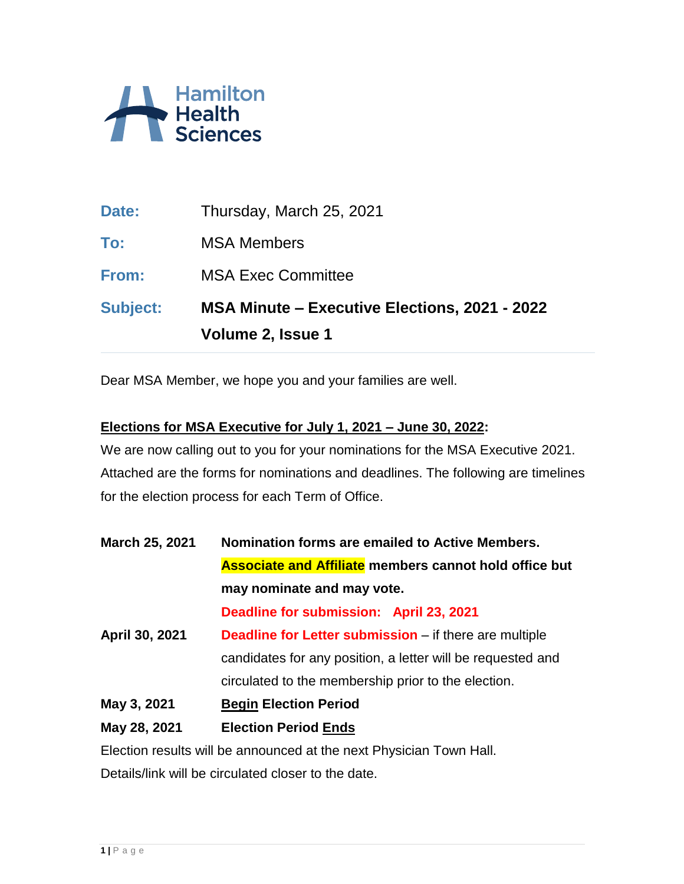

|                 | Volume 2, Issue 1                             |
|-----------------|-----------------------------------------------|
| <b>Subject:</b> | MSA Minute – Executive Elections, 2021 - 2022 |
| From:           | <b>MSA Exec Committee</b>                     |
| To:             | <b>MSA Members</b>                            |
| Date:           | Thursday, March 25, 2021                      |

Dear MSA Member, we hope you and your families are well.

## **Elections for MSA Executive for July 1, 2021 – June 30, 2022:**

We are now calling out to you for your nominations for the MSA Executive 2021. Attached are the forms for nominations and deadlines. The following are timelines for the election process for each Term of Office.

| March 25, 2021 | Nomination forms are emailed to Active Members.               |
|----------------|---------------------------------------------------------------|
|                | <b>Associate and Affiliate</b> members cannot hold office but |
|                | may nominate and may vote.                                    |
|                | Deadline for submission: April 23, 2021                       |
| April 30, 2021 | <b>Deadline for Letter submission</b> – if there are multiple |
|                | candidates for any position, a letter will be requested and   |
|                | circulated to the membership prior to the election.           |
| May 3, 2021    | <b>Begin Election Period</b>                                  |
| May 28, 2021   | <b>Election Period Ends</b>                                   |
|                |                                                               |

Election results will be announced at the next Physician Town Hall. Details/link will be circulated closer to the date.